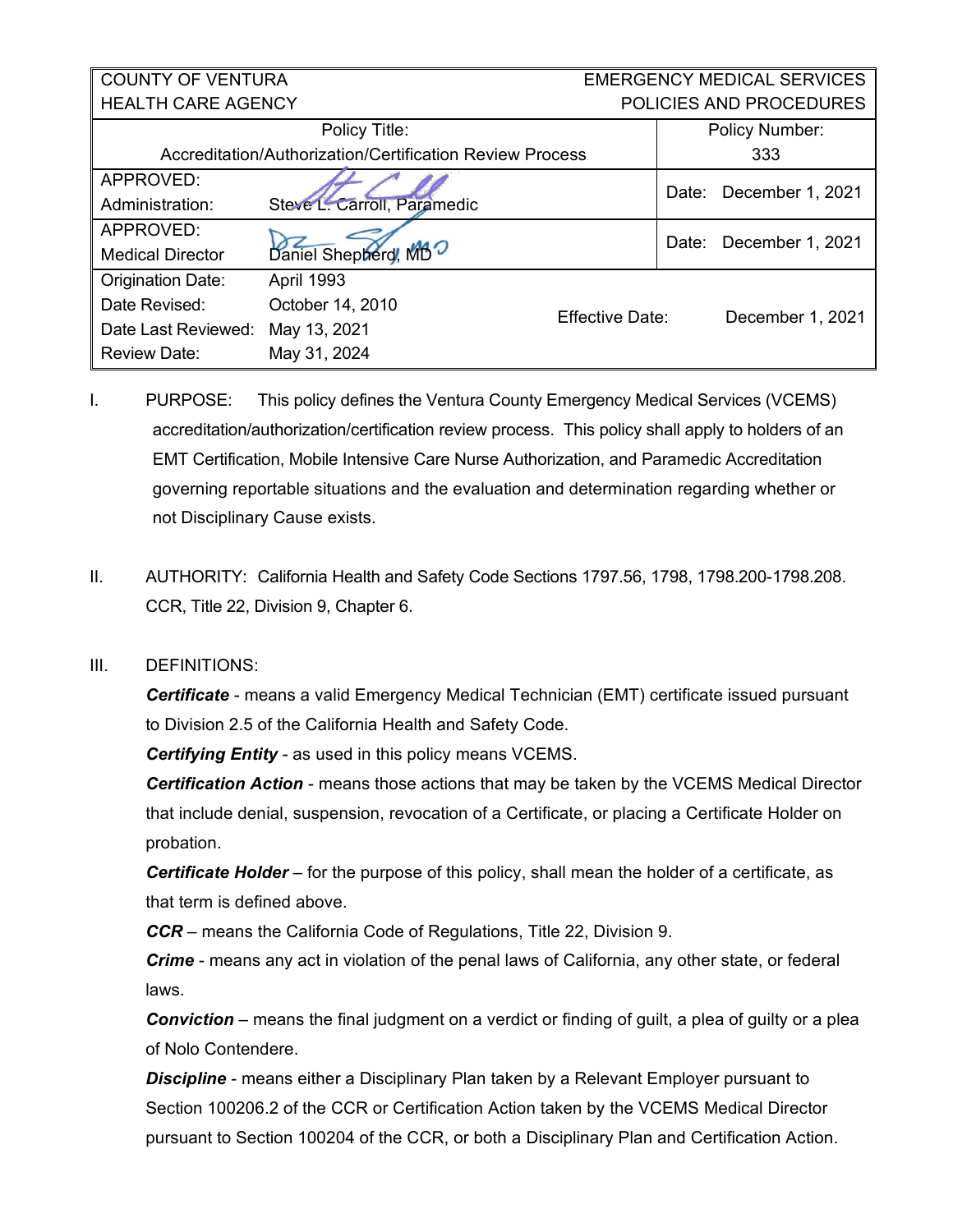## COUNTY OF VENTURA HEALTH CARE AGENCY EMERGENCY MEDICAL SERVICES POLICIES AND PROCEDURES

| Policy Title:                                                   |                             |                 | Policy Number: |                  |
|-----------------------------------------------------------------|-----------------------------|-----------------|----------------|------------------|
| <b>Accreditation/Authorization/Certification Review Process</b> |                             |                 |                | 333              |
| APPROVED:                                                       |                             |                 | Date:          | December 1, 2021 |
| Administration:                                                 | Steve L. Carroll, Paramedic |                 |                |                  |
| APPROVED:                                                       |                             |                 | Date:          | December 1, 2021 |
| <b>Medical Director</b>                                         | Daniel Shepherd, MBO        |                 |                |                  |
| <b>Origination Date:</b>                                        | April 1993                  | Effective Date: |                | December 1, 2021 |
| Date Revised:                                                   | October 14, 2010            |                 |                |                  |
| Date Last Reviewed:                                             | May 13, 2021                |                 |                |                  |
| <b>Review Date:</b>                                             | May 31, 2024                |                 |                |                  |

- I. PURPOSE: This policy defines the Ventura County Emergency Medical Services (VCEMS) accreditation/authorization/certification review process. This policy shall apply to holders of an EMT Certification, Mobile Intensive Care Nurse Authorization, and Paramedic Accreditation governing reportable situations and the evaluation and determination regarding whether or not Disciplinary Cause exists.
- II. AUTHORITY: California Health and Safety Code Sections 1797.56, 1798, 1798.200-1798.208. CCR, Title 22, Division 9, Chapter 6.

## III. DEFINITIONS:

*Certificate* - means a valid Emergency Medical Technician (EMT) certificate issued pursuant to Division 2.5 of the California Health and Safety Code.

*Certifying Entity* - as used in this policy means VCEMS.

*Certification Action* - means those actions that may be taken by the VCEMS Medical Director that include denial, suspension, revocation of a Certificate, or placing a Certificate Holder on probation.

*Certificate Holder* – for the purpose of this policy, shall mean the holder of a certificate, as that term is defined above.

*CCR* – means the California Code of Regulations, Title 22, Division 9.

*Crime* - means any act in violation of the penal laws of California, any other state, or federal laws.

*Conviction* – means the final judgment on a verdict or finding of guilt, a plea of guilty or a plea of Nolo Contendere.

*Discipline* - means either a Disciplinary Plan taken by a Relevant Employer pursuant to Section 100206.2 of the CCR or Certification Action taken by the VCEMS Medical Director pursuant to Section 100204 of the CCR, or both a Disciplinary Plan and Certification Action.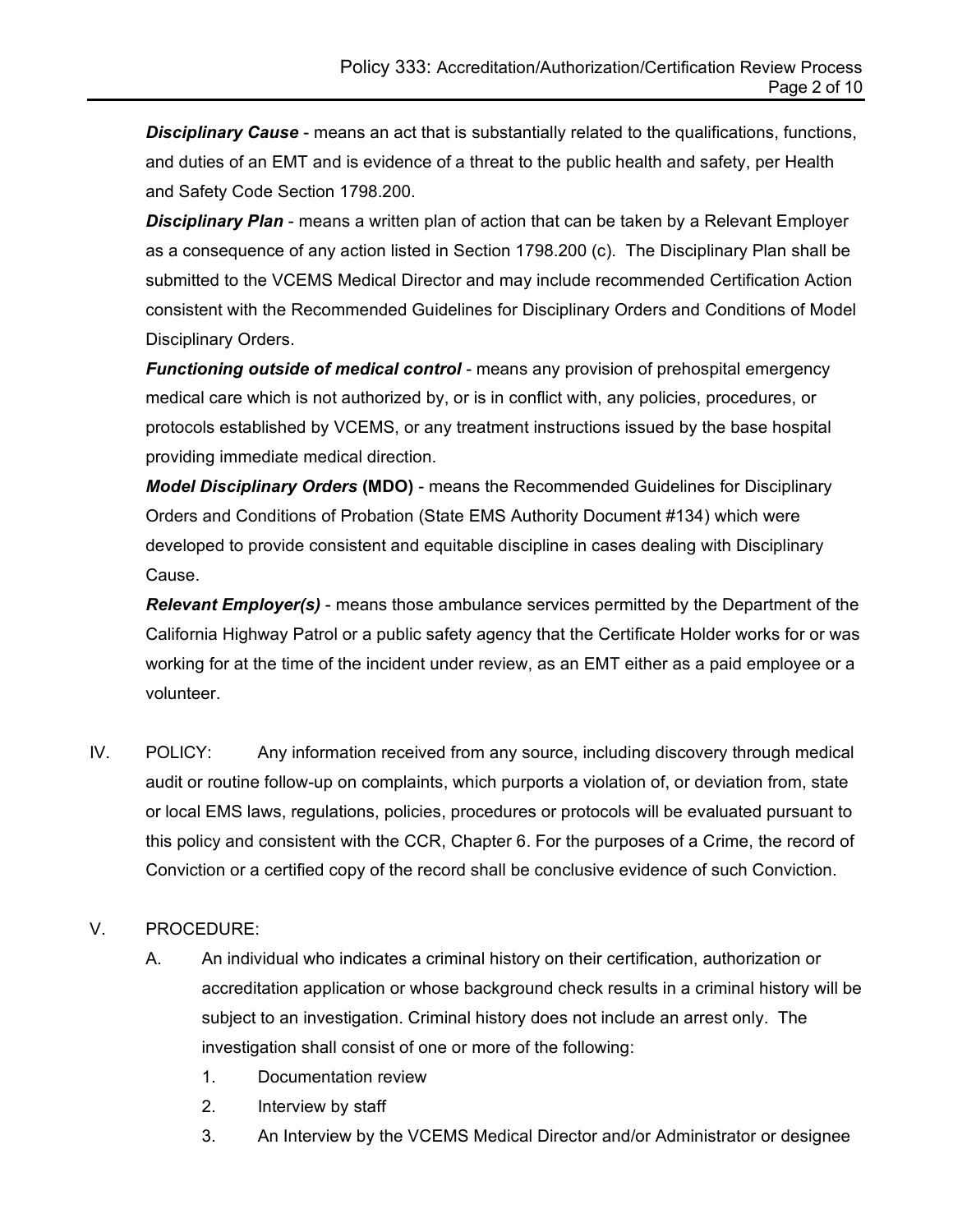*Disciplinary Cause* - means an act that is substantially related to the qualifications, functions, and duties of an EMT and is evidence of a threat to the public health and safety, per Health and Safety Code Section 1798.200.

*Disciplinary Plan* - means a written plan of action that can be taken by a Relevant Employer as a consequence of any action listed in Section 1798.200 (c). The Disciplinary Plan shall be submitted to the VCEMS Medical Director and may include recommended Certification Action consistent with the Recommended Guidelines for Disciplinary Orders and Conditions of Model Disciplinary Orders.

*Functioning outside of medical control* - means any provision of prehospital emergency medical care which is not authorized by, or is in conflict with, any policies, procedures, or protocols established by VCEMS, or any treatment instructions issued by the base hospital providing immediate medical direction.

*Model Disciplinary Orders* **(MDO)** - means the Recommended Guidelines for Disciplinary Orders and Conditions of Probation (State EMS Authority Document #134) which were developed to provide consistent and equitable discipline in cases dealing with Disciplinary Cause.

*Relevant Employer(s)* - means those ambulance services permitted by the Department of the California Highway Patrol or a public safety agency that the Certificate Holder works for or was working for at the time of the incident under review, as an EMT either as a paid employee or a volunteer.

IV. POLICY: Any information received from any source, including discovery through medical audit or routine follow-up on complaints, which purports a violation of, or deviation from, state or local EMS laws, regulations, policies, procedures or protocols will be evaluated pursuant to this policy and consistent with the CCR, Chapter 6. For the purposes of a Crime, the record of Conviction or a certified copy of the record shall be conclusive evidence of such Conviction.

## V. PROCEDURE:

- A. An individual who indicates a criminal history on their certification, authorization or accreditation application or whose background check results in a criminal history will be subject to an investigation. Criminal history does not include an arrest only. The investigation shall consist of one or more of the following:
	- 1. Documentation review
	- 2. Interview by staff
	- 3. An Interview by the VCEMS Medical Director and/or Administrator or designee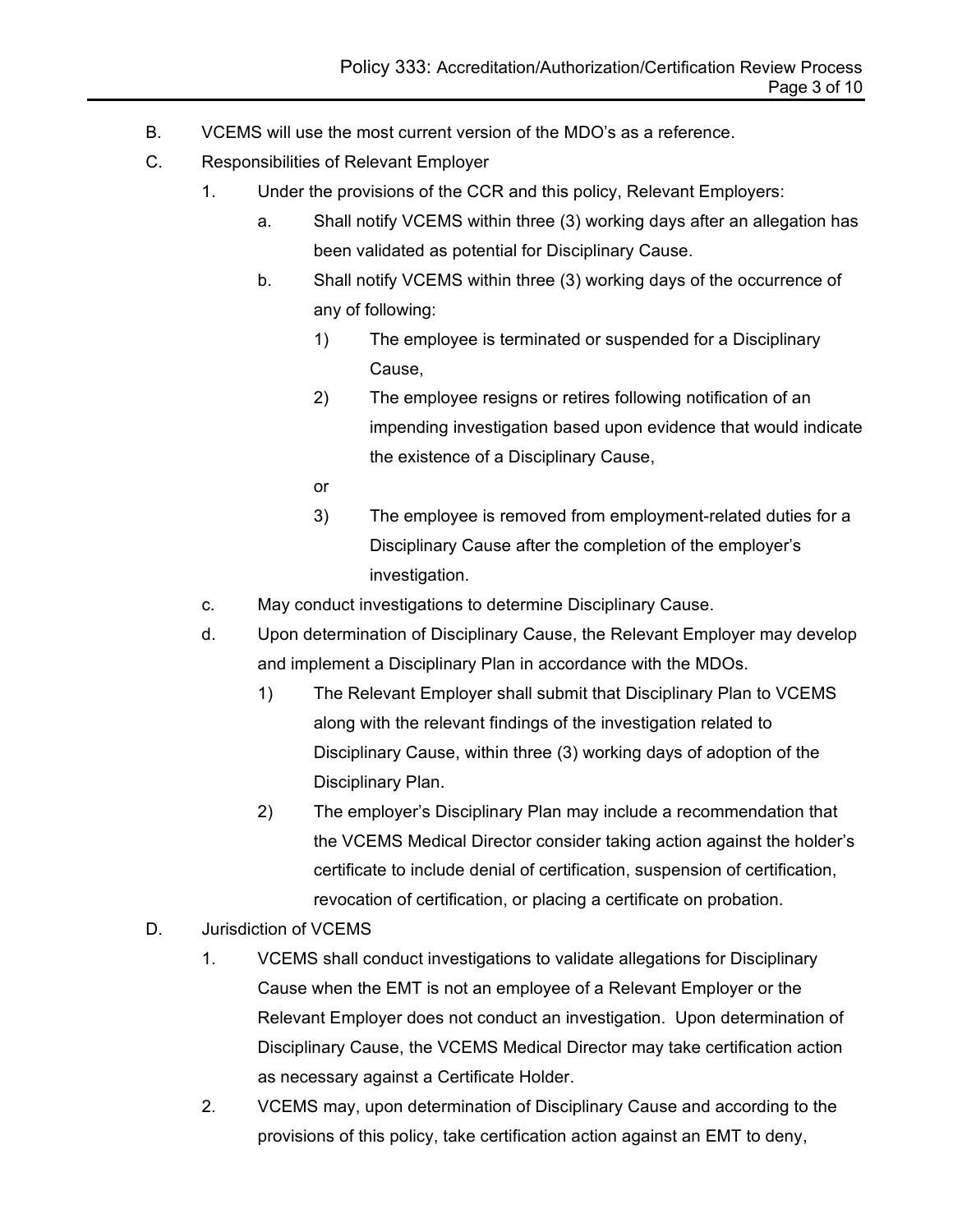- B. VCEMS will use the most current version of the MDO's as a reference.
- C. Responsibilities of Relevant Employer
	- 1. Under the provisions of the CCR and this policy, Relevant Employers:
		- a. Shall notify VCEMS within three (3) working days after an allegation has been validated as potential for Disciplinary Cause.
		- b. Shall notify VCEMS within three (3) working days of the occurrence of any of following:
			- 1) The employee is terminated or suspended for a Disciplinary Cause,
			- 2) The employee resigns or retires following notification of an impending investigation based upon evidence that would indicate the existence of a Disciplinary Cause,
			- or
			- 3) The employee is removed from employment-related duties for a Disciplinary Cause after the completion of the employer's investigation.
	- c. May conduct investigations to determine Disciplinary Cause.
	- d. Upon determination of Disciplinary Cause, the Relevant Employer may develop and implement a Disciplinary Plan in accordance with the MDOs.
		- 1) The Relevant Employer shall submit that Disciplinary Plan to VCEMS along with the relevant findings of the investigation related to Disciplinary Cause, within three (3) working days of adoption of the Disciplinary Plan.
		- 2) The employer's Disciplinary Plan may include a recommendation that the VCEMS Medical Director consider taking action against the holder's certificate to include denial of certification, suspension of certification, revocation of certification, or placing a certificate on probation.
- D. Jurisdiction of VCEMS
	- 1. VCEMS shall conduct investigations to validate allegations for Disciplinary Cause when the EMT is not an employee of a Relevant Employer or the Relevant Employer does not conduct an investigation. Upon determination of Disciplinary Cause, the VCEMS Medical Director may take certification action as necessary against a Certificate Holder.
	- 2. VCEMS may, upon determination of Disciplinary Cause and according to the provisions of this policy, take certification action against an EMT to deny,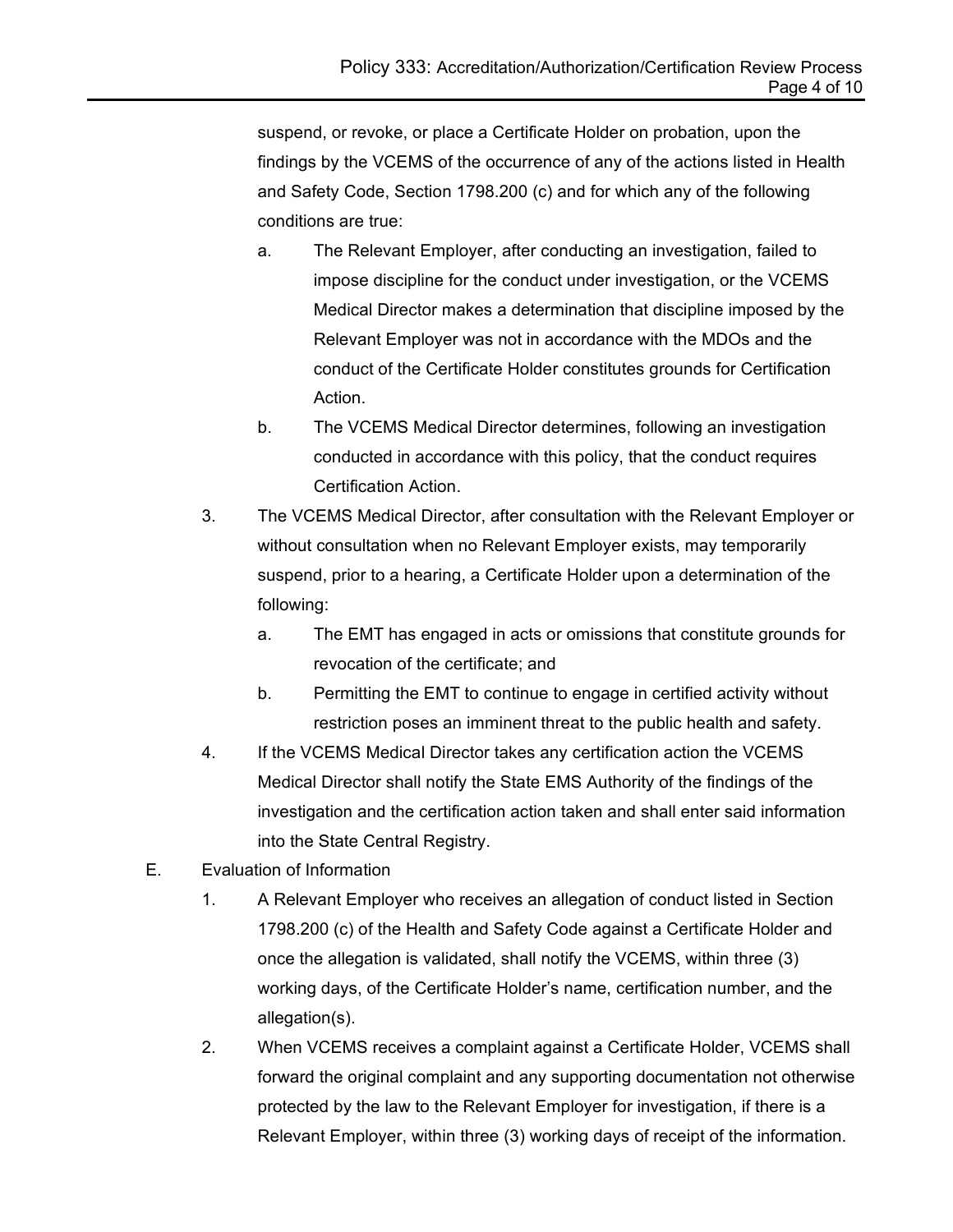suspend, or revoke, or place a Certificate Holder on probation, upon the findings by the VCEMS of the occurrence of any of the actions listed in Health and Safety Code, Section 1798.200 (c) and for which any of the following conditions are true:

- a. The Relevant Employer, after conducting an investigation, failed to impose discipline for the conduct under investigation, or the VCEMS Medical Director makes a determination that discipline imposed by the Relevant Employer was not in accordance with the MDOs and the conduct of the Certificate Holder constitutes grounds for Certification Action.
- b. The VCEMS Medical Director determines, following an investigation conducted in accordance with this policy, that the conduct requires Certification Action.
- 3. The VCEMS Medical Director, after consultation with the Relevant Employer or without consultation when no Relevant Employer exists, may temporarily suspend, prior to a hearing, a Certificate Holder upon a determination of the following:
	- a. The EMT has engaged in acts or omissions that constitute grounds for revocation of the certificate; and
	- b. Permitting the EMT to continue to engage in certified activity without restriction poses an imminent threat to the public health and safety.
- 4. If the VCEMS Medical Director takes any certification action the VCEMS Medical Director shall notify the State EMS Authority of the findings of the investigation and the certification action taken and shall enter said information into the State Central Registry.
- E. Evaluation of Information
	- 1. A Relevant Employer who receives an allegation of conduct listed in Section 1798.200 (c) of the Health and Safety Code against a Certificate Holder and once the allegation is validated, shall notify the VCEMS, within three (3) working days, of the Certificate Holder's name, certification number, and the allegation(s).
	- 2. When VCEMS receives a complaint against a Certificate Holder, VCEMS shall forward the original complaint and any supporting documentation not otherwise protected by the law to the Relevant Employer for investigation, if there is a Relevant Employer, within three (3) working days of receipt of the information.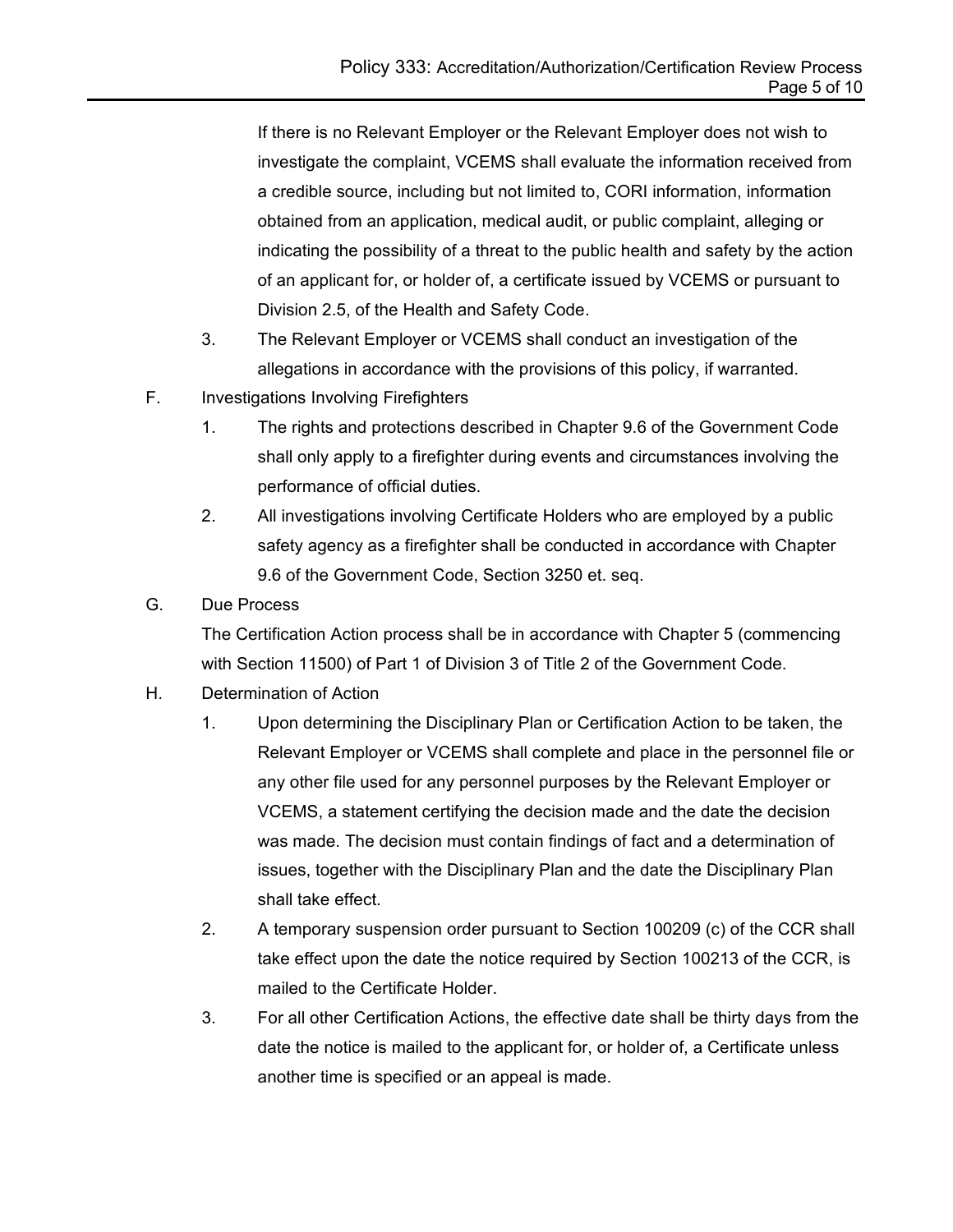If there is no Relevant Employer or the Relevant Employer does not wish to investigate the complaint, VCEMS shall evaluate the information received from a credible source, including but not limited to, CORI information, information obtained from an application, medical audit, or public complaint, alleging or indicating the possibility of a threat to the public health and safety by the action of an applicant for, or holder of, a certificate issued by VCEMS or pursuant to Division 2.5, of the Health and Safety Code.

- 3. The Relevant Employer or VCEMS shall conduct an investigation of the allegations in accordance with the provisions of this policy, if warranted.
- F. Investigations Involving Firefighters
	- 1. The rights and protections described in Chapter 9.6 of the Government Code shall only apply to a firefighter during events and circumstances involving the performance of official duties.
	- 2. All investigations involving Certificate Holders who are employed by a public safety agency as a firefighter shall be conducted in accordance with Chapter 9.6 of the Government Code, Section 3250 et. seq.
- G. Due Process

The Certification Action process shall be in accordance with Chapter 5 (commencing with Section 11500) of Part 1 of Division 3 of Title 2 of the Government Code.

- H. Determination of Action
	- 1. Upon determining the Disciplinary Plan or Certification Action to be taken, the Relevant Employer or VCEMS shall complete and place in the personnel file or any other file used for any personnel purposes by the Relevant Employer or VCEMS, a statement certifying the decision made and the date the decision was made. The decision must contain findings of fact and a determination of issues, together with the Disciplinary Plan and the date the Disciplinary Plan shall take effect.
	- 2. A temporary suspension order pursuant to Section 100209 (c) of the CCR shall take effect upon the date the notice required by Section 100213 of the CCR, is mailed to the Certificate Holder.
	- 3. For all other Certification Actions, the effective date shall be thirty days from the date the notice is mailed to the applicant for, or holder of, a Certificate unless another time is specified or an appeal is made.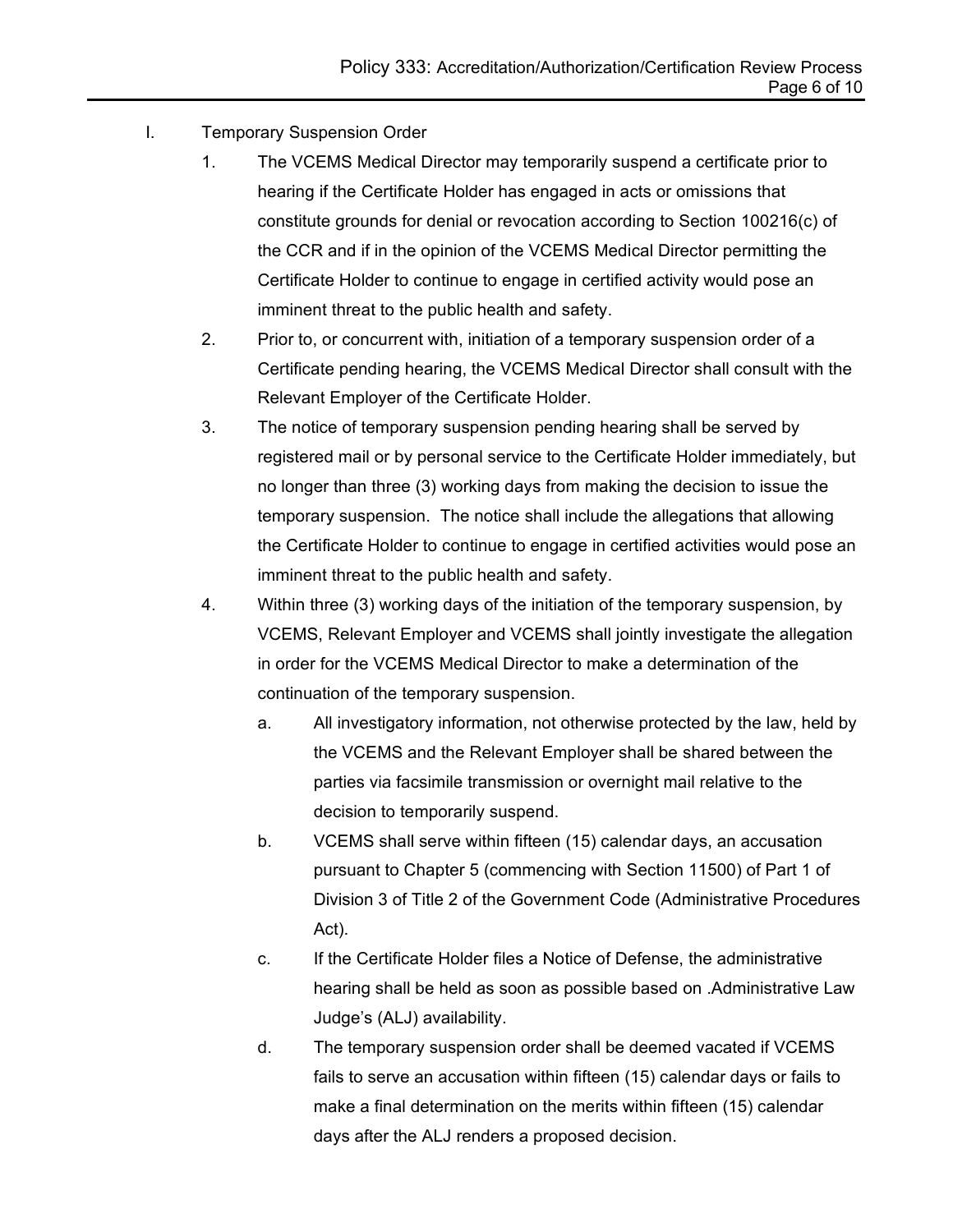- I. Temporary Suspension Order
	- 1. The VCEMS Medical Director may temporarily suspend a certificate prior to hearing if the Certificate Holder has engaged in acts or omissions that constitute grounds for denial or revocation according to Section 100216(c) of the CCR and if in the opinion of the VCEMS Medical Director permitting the Certificate Holder to continue to engage in certified activity would pose an imminent threat to the public health and safety.
	- 2. Prior to, or concurrent with, initiation of a temporary suspension order of a Certificate pending hearing, the VCEMS Medical Director shall consult with the Relevant Employer of the Certificate Holder.
	- 3. The notice of temporary suspension pending hearing shall be served by registered mail or by personal service to the Certificate Holder immediately, but no longer than three (3) working days from making the decision to issue the temporary suspension. The notice shall include the allegations that allowing the Certificate Holder to continue to engage in certified activities would pose an imminent threat to the public health and safety.
	- 4. Within three (3) working days of the initiation of the temporary suspension, by VCEMS, Relevant Employer and VCEMS shall jointly investigate the allegation in order for the VCEMS Medical Director to make a determination of the continuation of the temporary suspension.
		- a. All investigatory information, not otherwise protected by the law, held by the VCEMS and the Relevant Employer shall be shared between the parties via facsimile transmission or overnight mail relative to the decision to temporarily suspend.
		- b. VCEMS shall serve within fifteen (15) calendar days, an accusation pursuant to Chapter 5 (commencing with Section 11500) of Part 1 of Division 3 of Title 2 of the Government Code (Administrative Procedures Act).
		- c. If the Certificate Holder files a Notice of Defense, the administrative hearing shall be held as soon as possible based on .Administrative Law Judge's (ALJ) availability.
		- d. The temporary suspension order shall be deemed vacated if VCEMS fails to serve an accusation within fifteen (15) calendar days or fails to make a final determination on the merits within fifteen (15) calendar days after the ALJ renders a proposed decision.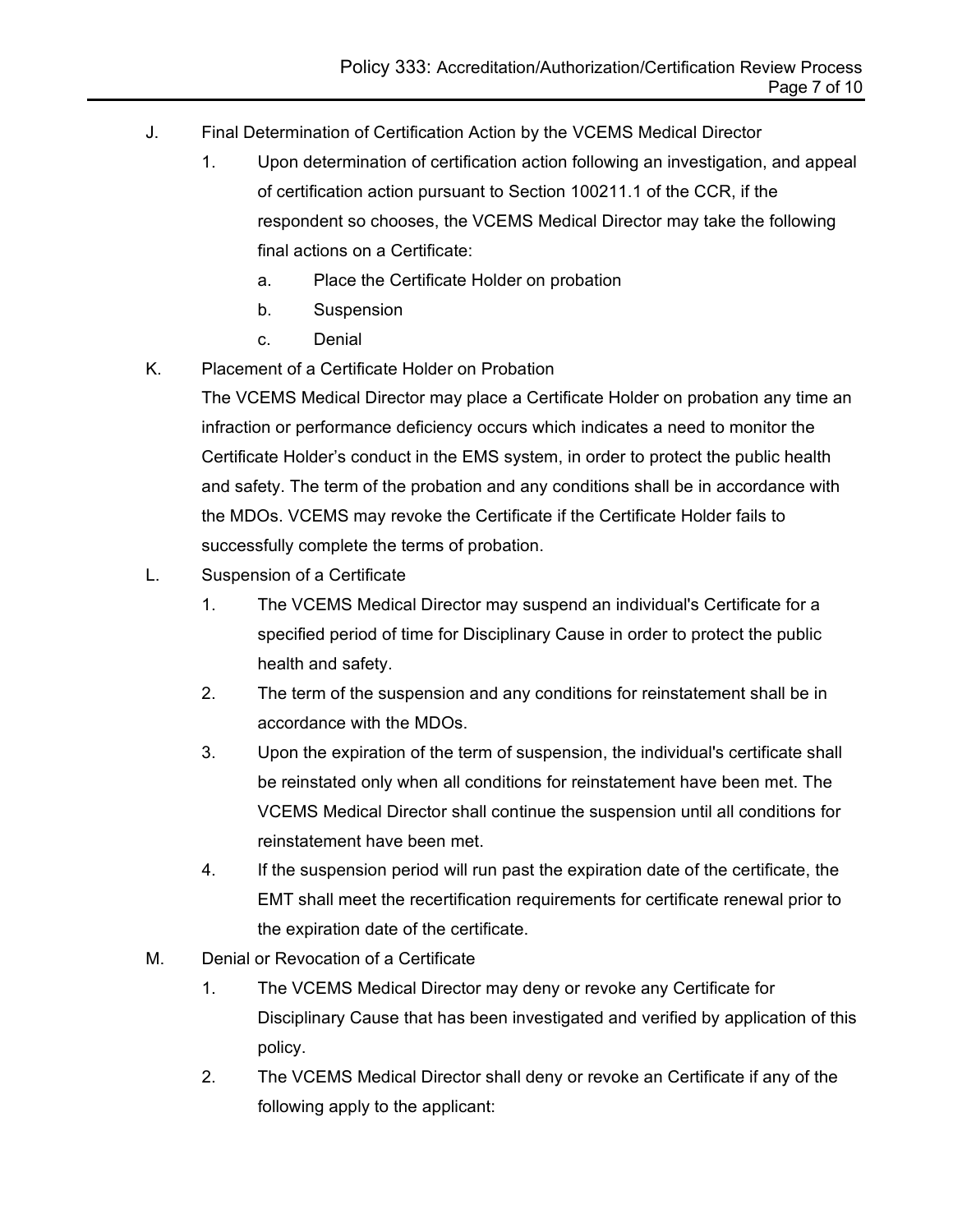- J. Final Determination of Certification Action by the VCEMS Medical Director
	- 1. Upon determination of certification action following an investigation, and appeal of certification action pursuant to Section 100211.1 of the CCR, if the respondent so chooses, the VCEMS Medical Director may take the following final actions on a Certificate:
		- a. Place the Certificate Holder on probation
		- b. Suspension
		- c. Denial
- K. Placement of a Certificate Holder on Probation

The VCEMS Medical Director may place a Certificate Holder on probation any time an infraction or performance deficiency occurs which indicates a need to monitor the Certificate Holder's conduct in the EMS system, in order to protect the public health and safety. The term of the probation and any conditions shall be in accordance with the MDOs. VCEMS may revoke the Certificate if the Certificate Holder fails to successfully complete the terms of probation.

- L. Suspension of a Certificate
	- 1. The VCEMS Medical Director may suspend an individual's Certificate for a specified period of time for Disciplinary Cause in order to protect the public health and safety.
	- 2. The term of the suspension and any conditions for reinstatement shall be in accordance with the MDOs.
	- 3. Upon the expiration of the term of suspension, the individual's certificate shall be reinstated only when all conditions for reinstatement have been met. The VCEMS Medical Director shall continue the suspension until all conditions for reinstatement have been met.
	- 4. If the suspension period will run past the expiration date of the certificate, the EMT shall meet the recertification requirements for certificate renewal prior to the expiration date of the certificate.
- M. Denial or Revocation of a Certificate
	- 1. The VCEMS Medical Director may deny or revoke any Certificate for Disciplinary Cause that has been investigated and verified by application of this policy.
	- 2. The VCEMS Medical Director shall deny or revoke an Certificate if any of the following apply to the applicant: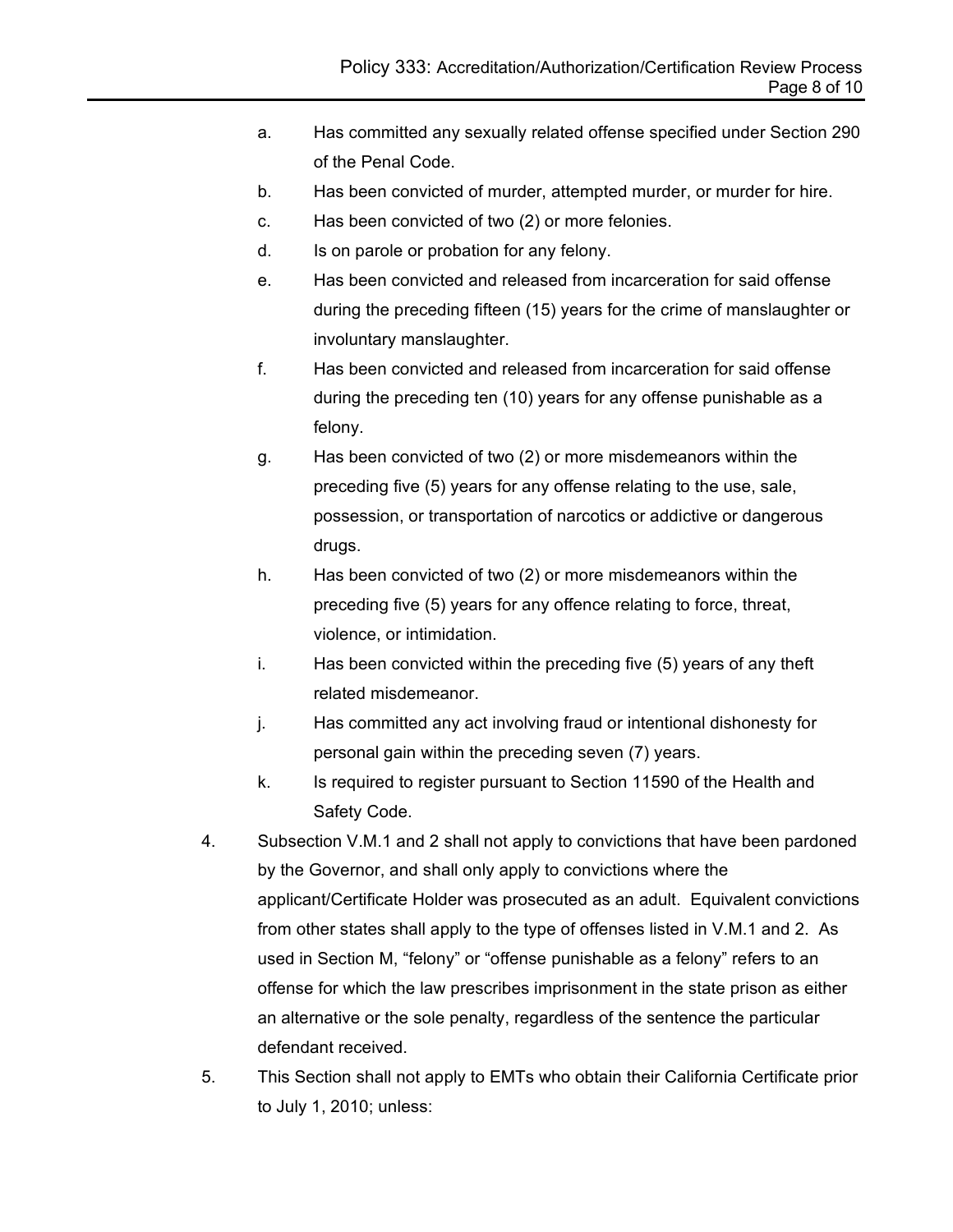- a. Has committed any sexually related offense specified under Section 290 of the Penal Code.
- b. Has been convicted of murder, attempted murder, or murder for hire.
- c. Has been convicted of two (2) or more felonies.
- d. Is on parole or probation for any felony.
- e. Has been convicted and released from incarceration for said offense during the preceding fifteen (15) years for the crime of manslaughter or involuntary manslaughter.
- f. Has been convicted and released from incarceration for said offense during the preceding ten (10) years for any offense punishable as a felony.
- g. Has been convicted of two (2) or more misdemeanors within the preceding five (5) years for any offense relating to the use, sale, possession, or transportation of narcotics or addictive or dangerous drugs.
- h. Has been convicted of two (2) or more misdemeanors within the preceding five (5) years for any offence relating to force, threat, violence, or intimidation.
- i. Has been convicted within the preceding five (5) years of any theft related misdemeanor.
- j. Has committed any act involving fraud or intentional dishonesty for personal gain within the preceding seven (7) years.
- k. Is required to register pursuant to Section 11590 of the Health and Safety Code.
- 4. Subsection V.M.1 and 2 shall not apply to convictions that have been pardoned by the Governor, and shall only apply to convictions where the applicant/Certificate Holder was prosecuted as an adult. Equivalent convictions from other states shall apply to the type of offenses listed in V.M.1 and 2. As used in Section M, "felony" or "offense punishable as a felony" refers to an offense for which the law prescribes imprisonment in the state prison as either an alternative or the sole penalty, regardless of the sentence the particular defendant received.
- 5. This Section shall not apply to EMTs who obtain their California Certificate prior to July 1, 2010; unless: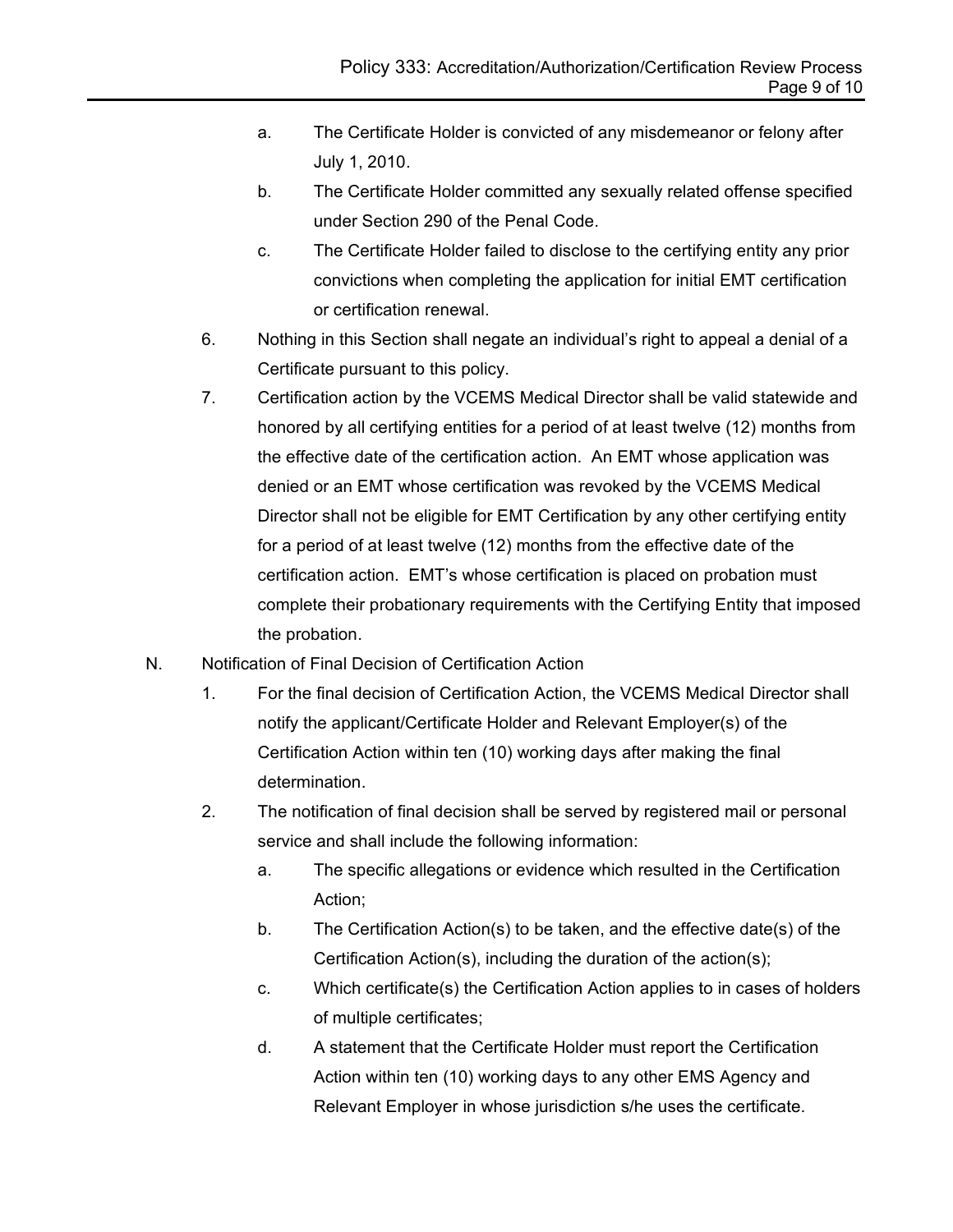- a. The Certificate Holder is convicted of any misdemeanor or felony after July 1, 2010.
- b. The Certificate Holder committed any sexually related offense specified under Section 290 of the Penal Code.
- c. The Certificate Holder failed to disclose to the certifying entity any prior convictions when completing the application for initial EMT certification or certification renewal.
- 6. Nothing in this Section shall negate an individual's right to appeal a denial of a Certificate pursuant to this policy.
- 7. Certification action by the VCEMS Medical Director shall be valid statewide and honored by all certifying entities for a period of at least twelve (12) months from the effective date of the certification action. An EMT whose application was denied or an EMT whose certification was revoked by the VCEMS Medical Director shall not be eligible for EMT Certification by any other certifying entity for a period of at least twelve (12) months from the effective date of the certification action. EMT's whose certification is placed on probation must complete their probationary requirements with the Certifying Entity that imposed the probation.
- N. Notification of Final Decision of Certification Action
	- 1. For the final decision of Certification Action, the VCEMS Medical Director shall notify the applicant/Certificate Holder and Relevant Employer(s) of the Certification Action within ten (10) working days after making the final determination.
	- 2. The notification of final decision shall be served by registered mail or personal service and shall include the following information:
		- a. The specific allegations or evidence which resulted in the Certification Action;
		- b. The Certification Action(s) to be taken, and the effective date(s) of the Certification Action(s), including the duration of the action(s);
		- c. Which certificate(s) the Certification Action applies to in cases of holders of multiple certificates;
		- d. A statement that the Certificate Holder must report the Certification Action within ten (10) working days to any other EMS Agency and Relevant Employer in whose jurisdiction s/he uses the certificate.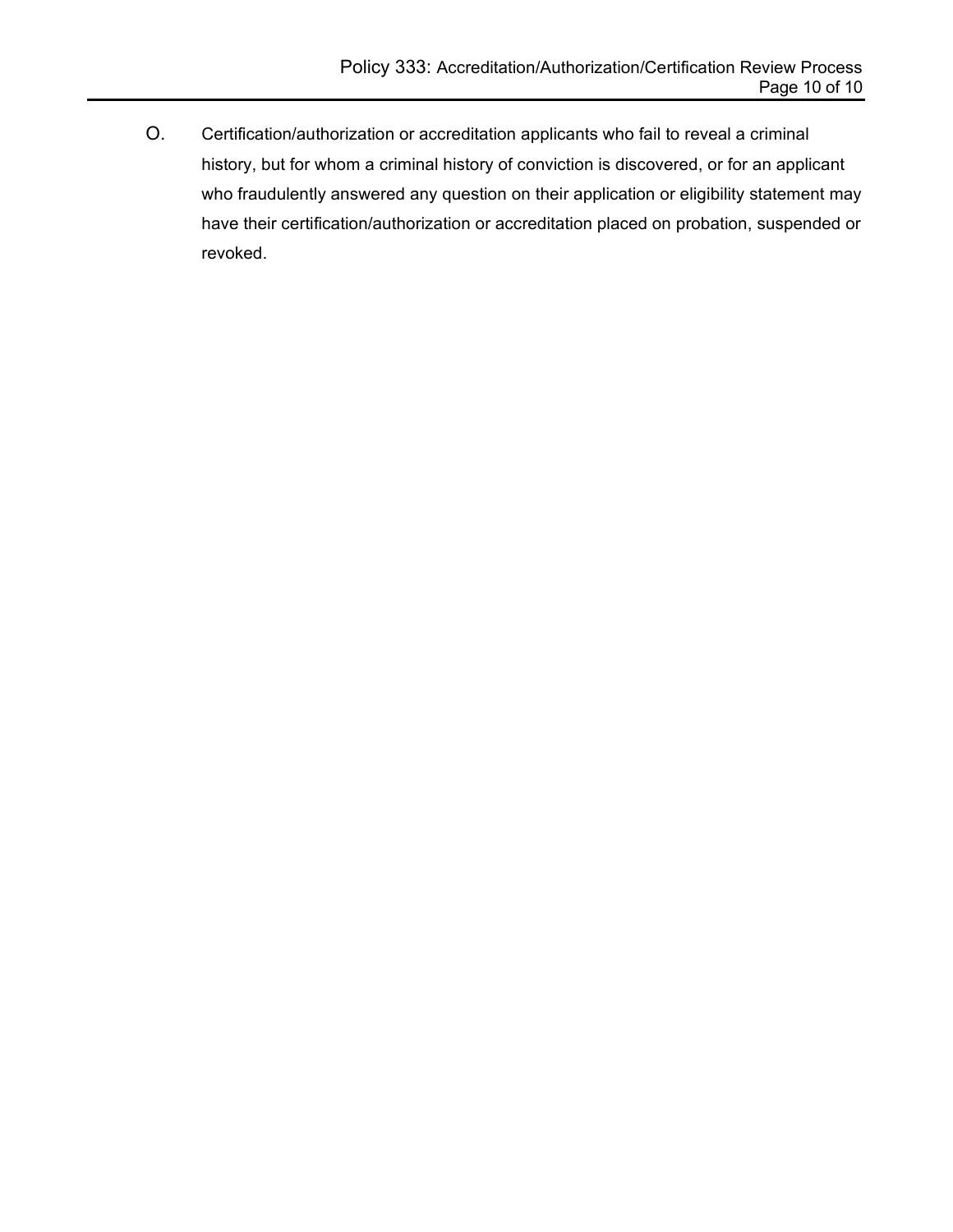O. Certification/authorization or accreditation applicants who fail to reveal a criminal history, but for whom a criminal history of conviction is discovered, or for an applicant who fraudulently answered any question on their application or eligibility statement may have their certification/authorization or accreditation placed on probation, suspended or revoked.